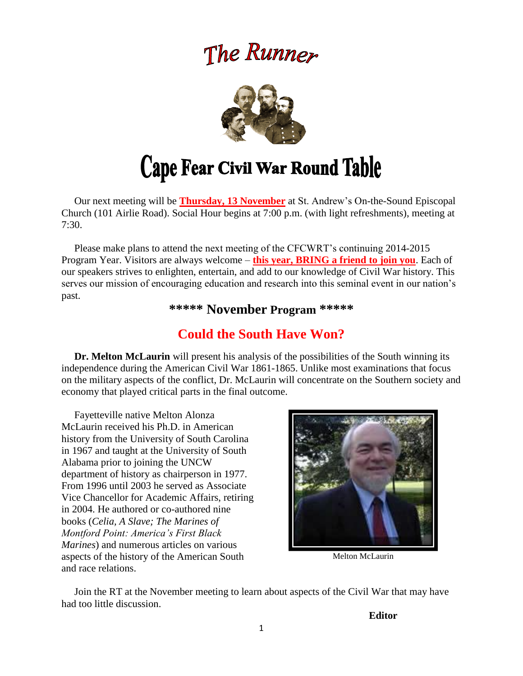# The Runner



 Our next meeting will be **Thursday, 13 November** at St. Andrew's On-the-Sound Episcopal Church (101 Airlie Road). Social Hour begins at 7:00 p.m. (with light refreshments), meeting at 7:30.

 Please make plans to attend the next meeting of the CFCWRT's continuing 2014-2015 Program Year. Visitors are always welcome – **this year, BRING a friend to join you**. Each of our speakers strives to enlighten, entertain, and add to our knowledge of Civil War history. This serves our mission of encouraging education and research into this seminal event in our nation's past.

**\*\*\*\*\* November Program \*\*\*\*\***

# **Could the South Have Won?**

 **Dr. Melton McLaurin** will present his analysis of the possibilities of the South winning its independence during the American Civil War 1861-1865. Unlike most examinations that focus on the military aspects of the conflict, Dr. McLaurin will concentrate on the Southern society and economy that played critical parts in the final outcome.

 Fayetteville native Melton Alonza McLaurin received his Ph.D. in American history from the University of South Carolina in 1967 and taught at the University of South Alabama prior to joining the UNCW department of history as chairperson in 1977. From 1996 until 2003 he served as Associate Vice Chancellor for Academic Affairs, retiring in 2004. He authored or co-authored nine books (*Celia, A Slave; The Marines of Montford Point: America's First Black Marines*) and numerous articles on various aspects of the history of the American South and race relations.



Melton McLaurin

 Join the RT at the November meeting to learn about aspects of the Civil War that may have had too little discussion.

**Editor**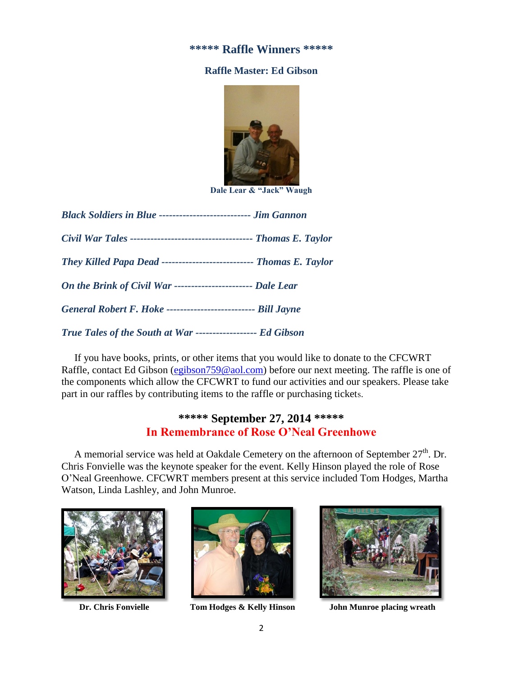## **\*\*\*\*\* Raffle Winners \*\*\*\*\***

## **Raffle Master: Ed Gibson**



**Dale Lear & "Jack" Waugh**

| <b>Black Soldiers in Blue ----------------------------- Jim Gannon</b> |  |  |
|------------------------------------------------------------------------|--|--|
|                                                                        |  |  |
| They Killed Papa Dead ---------------------------- Thomas E. Taylor    |  |  |
| On the Brink of Civil War ------------------------- Dale Lear          |  |  |
| General Robert F. Hoke --------------------------- Bill Jayne          |  |  |
| True Tales of the South at War ------------------- Ed Gibson           |  |  |

 If you have books, prints, or other items that you would like to donate to the CFCWRT Raffle, contact Ed Gibson [\(egibson759@aol.com\)](mailto:egibson759@aol.com) before our next meeting. The raffle is one of the components which allow the CFCWRT to fund our activities and our speakers. Please take part in our raffles by contributing items to the raffle or purchasing tickets.

# **\*\*\*\*\* September 27, 2014 \*\*\*\*\* In Remembrance of Rose O'Neal Greenhowe**

A memorial service was held at Oakdale Cemetery on the afternoon of September 27<sup>th</sup>. Dr. Chris Fonvielle was the keynote speaker for the event. Kelly Hinson played the role of Rose O'Neal Greenhowe. CFCWRT members present at this service included Tom Hodges, Martha Watson, Linda Lashley, and John Munroe.







 **Dr. Chris Fonvielle Tom Hodges & Kelly Hinson John Munroe placing wreath**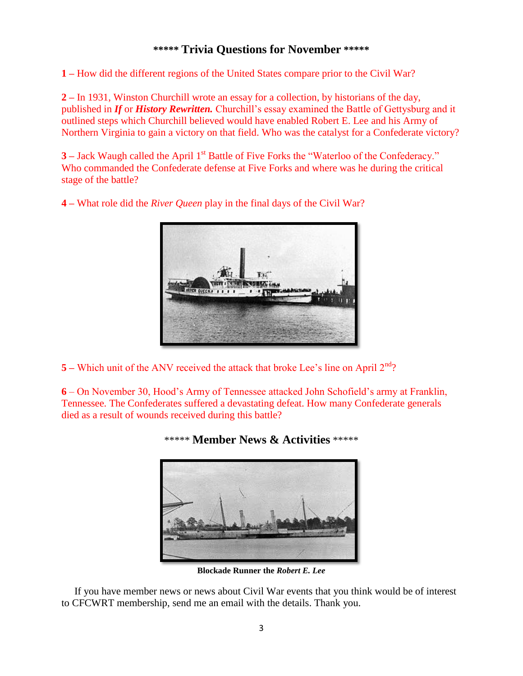# **\*\*\*\*\* Trivia Questions for November \*\*\*\*\***

**1 –** How did the different regions of the United States compare prior to the Civil War?

**2 –** In 1931, Winston Churchill wrote an essay for a collection, by historians of the day, published in *If* or *History Rewritten.* Churchill's essay examined the Battle of Gettysburg and it outlined steps which Churchill believed would have enabled Robert E. Lee and his Army of Northern Virginia to gain a victory on that field. Who was the catalyst for a Confederate victory?

**3** – Jack Waugh called the April 1<sup>st</sup> Battle of Five Forks the "Waterloo of the Confederacy." Who commanded the Confederate defense at Five Forks and where was he during the critical stage of the battle?

**4 –** What role did the *River Queen* play in the final days of the Civil War?



**5** – Which unit of the ANV received the attack that broke Lee's line on April 2<sup>nd</sup>?

**6** – On November 30, Hood's Army of Tennessee attacked John Schofield's army at Franklin, Tennessee. The Confederates suffered a devastating defeat. How many Confederate generals died as a result of wounds received during this battle?



**Blockade Runner the** *Robert E. Lee*

 If you have member news or news about Civil War events that you think would be of interest to CFCWRT membership, send me an email with the details. Thank you.

# \*\*\*\*\* **Member News & Activities** \*\*\*\*\*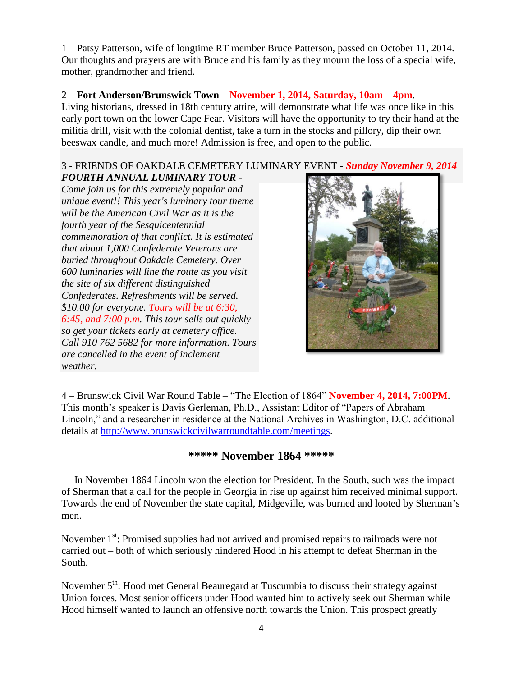1 – Patsy Patterson, wife of longtime RT member Bruce Patterson, passed on October 11, 2014. Our thoughts and prayers are with Bruce and his family as they mourn the loss of a special wife, mother, grandmother and friend.

# 2 – **Fort Anderson/Brunswick Town** – **November 1, 2014, Saturday, 10am – 4pm**.

Living historians, dressed in 18th century attire, will demonstrate what life was once like in this early port town on the lower Cape Fear. Visitors will have the opportunity to try their hand at the militia drill, visit with the colonial dentist, take a turn in the stocks and pillory, dip their own beeswax candle, and much more! Admission is free, and open to the public.

#### 3 *-* FRIENDS OF OAKDALE CEMETERY LUMINARY EVENT *- Sunday November 9, 2014 FOURTH ANNUAL LUMINARY TOUR -*

*Come join us for this extremely popular and unique event!! This year's luminary tour theme will be the American Civil War as it is the fourth year of the Sesquicentennial commemoration of that conflict. It is estimated that about 1,000 Confederate Veterans are buried throughout Oakdale Cemetery. Over 600 luminaries will line the route as you visit the site of six different distinguished Confederates. Refreshments will be served. \$10.00 for everyone. Tours will be at 6:30, 6:45, and 7:00 p.m. This tour sells out quickly so get your tickets early at cemetery office. Call 910 762 5682 for more information. Tours are cancelled in the event of inclement weather.*



4 – Brunswick Civil War Round Table – "The Election of 1864" **November 4, 2014, 7:00PM**. This month's speaker is Davis Gerleman, Ph.D., Assistant Editor of "Papers of Abraham Lincoln," and a researcher in residence at the National Archives in Washington, D.C. additional details at [http://www.brunswickcivilwarroundtable.com/meetings.](http://www.brunswickcivilwarroundtable.com/meetings)

# **\*\*\*\*\* November 1864 \*\*\*\*\***

 In November 1864 Lincoln won the election for President. In the South, such was the impact of Sherman that a call for the people in Georgia in rise up against him received minimal support. Towards the end of November the state capital, Midgeville, was burned and looted by Sherman's men.

November 1<sup>st</sup>: Promised supplies had not arrived and promised repairs to railroads were not carried out – both of which seriously hindered Hood in his attempt to defeat Sherman in the South.

November  $5<sup>th</sup>$ : Hood met General Beauregard at Tuscumbia to discuss their strategy against Union forces. Most senior officers under Hood wanted him to actively seek out Sherman while Hood himself wanted to launch an offensive north towards the Union. This prospect greatly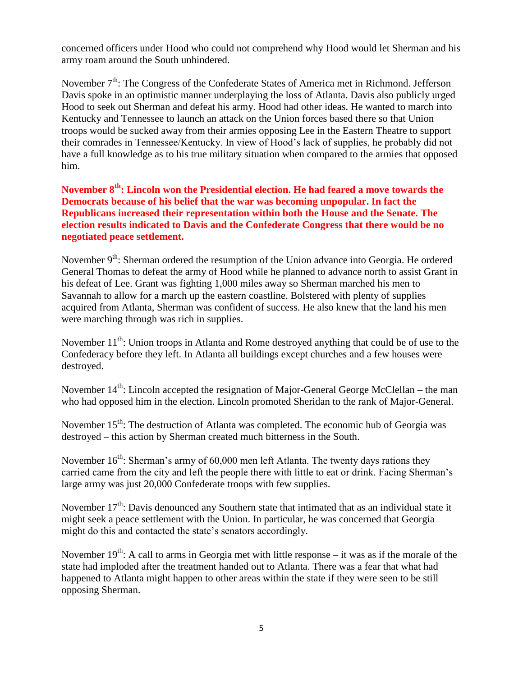concerned officers under Hood who could not comprehend why Hood would let Sherman and his army roam around the South unhindered.

November  $7<sup>th</sup>$ : The Congress of the Confederate States of America met in Richmond. Jefferson Davis spoke in an optimistic manner underplaying the loss of Atlanta. Davis also publicly urged Hood to seek out Sherman and defeat his army. Hood had other ideas. He wanted to march into Kentucky and Tennessee to launch an attack on the Union forces based there so that Union troops would be sucked away from their armies opposing Lee in the Eastern Theatre to support their comrades in Tennessee/Kentucky. In view of Hood's lack of supplies, he probably did not have a full knowledge as to his true military situation when compared to the armies that opposed him.

**November 8th: Lincoln won the Presidential election. He had feared a move towards the Democrats because of his belief that the war was becoming unpopular. In fact the Republicans increased their representation within both the House and the Senate. The election results indicated to Davis and the Confederate Congress that there would be no negotiated peace settlement.**

November 9<sup>th</sup>: Sherman ordered the resumption of the Union advance into Georgia. He ordered General Thomas to defeat the army of Hood while he planned to advance north to assist Grant in his defeat of Lee. Grant was fighting 1,000 miles away so Sherman marched his men to Savannah to allow for a march up the eastern coastline. Bolstered with plenty of supplies acquired from Atlanta, Sherman was confident of success. He also knew that the land his men were marching through was rich in supplies.

November  $11^{th}$ : Union troops in Atlanta and Rome destroyed anything that could be of use to the Confederacy before they left. In Atlanta all buildings except churches and a few houses were destroyed.

November  $14^{th}$ : Lincoln accepted the resignation of Major-General George McClellan – the man who had opposed him in the election. Lincoln promoted Sheridan to the rank of Major-General.

November 15<sup>th</sup>: The destruction of Atlanta was completed. The economic hub of Georgia was destroyed – this action by Sherman created much bitterness in the South.

November  $16<sup>th</sup>$ : Sherman's army of 60,000 men left Atlanta. The twenty days rations they carried came from the city and left the people there with little to eat or drink. Facing Sherman's large army was just 20,000 Confederate troops with few supplies.

November  $17<sup>th</sup>$ : Davis denounced any Southern state that intimated that as an individual state it might seek a peace settlement with the Union. In particular, he was concerned that Georgia might do this and contacted the state's senators accordingly.

November  $19<sup>th</sup>$ : A call to arms in Georgia met with little response – it was as if the morale of the state had imploded after the treatment handed out to Atlanta. There was a fear that what had happened to Atlanta might happen to other areas within the state if they were seen to be still opposing Sherman.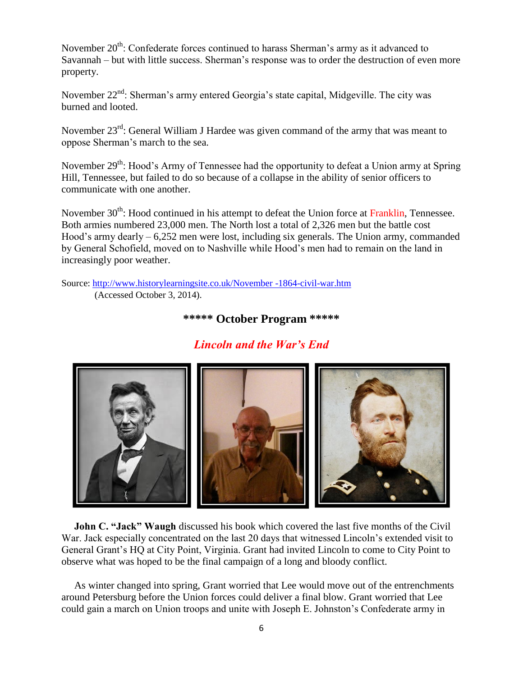November 20<sup>th</sup>: Confederate forces continued to harass Sherman's army as it advanced to Savannah – but with little success. Sherman's response was to order the destruction of even more property.

November 22<sup>nd</sup>: Sherman's army entered Georgia's state capital, Midgeville. The city was burned and looted.

November 23<sup>rd</sup>: General William J Hardee was given command of the army that was meant to oppose Sherman's march to the sea.

November 29<sup>th</sup>: Hood's Army of Tennessee had the opportunity to defeat a Union army at Spring Hill, Tennessee, but failed to do so because of a collapse in the ability of senior officers to communicate with one another.

November 30<sup>th</sup>: Hood continued in his attempt to defeat the Union force at Franklin, Tennessee. Both armies numbered 23,000 men. The North lost a total of 2,326 men but the battle cost Hood's army dearly – 6,252 men were lost, including six generals. The Union army, commanded by General Schofield, moved on to Nashville while Hood's men had to remain on the land in increasingly poor weather.

Source: [http://www.historylearningsite.co.uk/November -1864-civil-war.htm](http://www.historylearningsite.co.uk/November%20-1864-civil-war.htm) (Accessed October 3, 2014).

# **\*\*\*\*\* October Program \*\*\*\*\***

# *Lincoln and the War's End*



**John C. "Jack" Waugh** discussed his book which covered the last five months of the Civil War. Jack especially concentrated on the last 20 days that witnessed Lincoln's extended visit to General Grant's HQ at City Point, Virginia. Grant had invited Lincoln to come to City Point to observe what was hoped to be the final campaign of a long and bloody conflict.

 As winter changed into spring, Grant worried that Lee would move out of the entrenchments around Petersburg before the Union forces could deliver a final blow. Grant worried that Lee could gain a march on Union troops and unite with Joseph E. Johnston's Confederate army in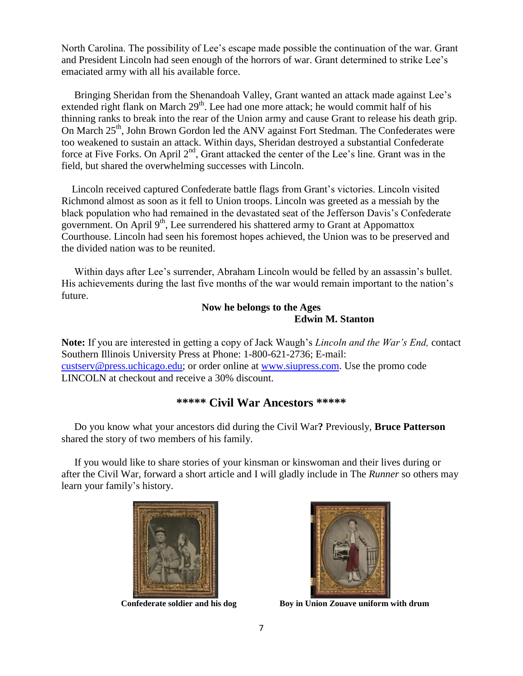North Carolina. The possibility of Lee's escape made possible the continuation of the war. Grant and President Lincoln had seen enough of the horrors of war. Grant determined to strike Lee's emaciated army with all his available force.

 Bringing Sheridan from the Shenandoah Valley, Grant wanted an attack made against Lee's extended right flank on March  $29<sup>th</sup>$ . Lee had one more attack; he would commit half of his thinning ranks to break into the rear of the Union army and cause Grant to release his death grip. On March 25<sup>th</sup>, John Brown Gordon led the ANV against Fort Stedman. The Confederates were too weakened to sustain an attack. Within days, Sheridan destroyed a substantial Confederate force at Five Forks. On April 2<sup>nd</sup>, Grant attacked the center of the Lee's line. Grant was in the field, but shared the overwhelming successes with Lincoln.

 Lincoln received captured Confederate battle flags from Grant's victories. Lincoln visited Richmond almost as soon as it fell to Union troops. Lincoln was greeted as a messiah by the black population who had remained in the devastated seat of the Jefferson Davis's Confederate government. On April  $9<sup>th</sup>$ , Lee surrendered his shattered army to Grant at Appomattox Courthouse. Lincoln had seen his foremost hopes achieved, the Union was to be preserved and the divided nation was to be reunited.

 Within days after Lee's surrender, Abraham Lincoln would be felled by an assassin's bullet. His achievements during the last five months of the war would remain important to the nation's future.

### **Now he belongs to the Ages Edwin M. Stanton**

**Note:** If you are interested in getting a copy of Jack Waugh's *Lincoln and the War's End,* contact Southern Illinois University Press at Phone: 1-800-621-2736; E-mail: [custserv@press.uchicago.edu;](mailto:custserv@press.uchicago.edu) or order online at [www.siupress.com.](http://www.siupress.com/) Use the promo code LINCOLN at checkout and receive a 30% discount.

# **\*\*\*\*\* Civil War Ancestors \*\*\*\*\***

 Do you know what your ancestors did during the Civil War**?** Previously, **Bruce Patterson** shared the story of two members of his family.

 If you would like to share stories of your kinsman or kinswoman and their lives during or after the Civil War, forward a short article and I will gladly include in The *Runner* so others may learn your family's history.





 **Confederate soldier and his dog Boy in Union Zouave uniform with drum**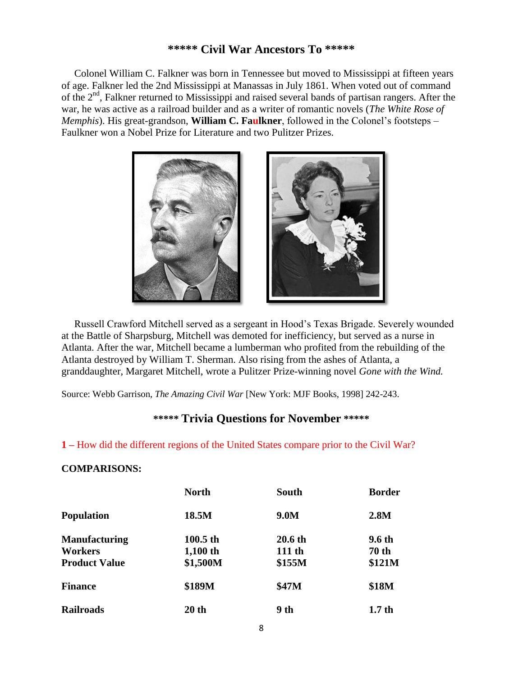### **\*\*\*\*\* Civil War Ancestors To \*\*\*\*\***

Colonel William C. Falkner was born in Tennessee but moved to Mississippi at fifteen years of age. Falkner led the 2nd Mississippi at Manassas in July 1861. When voted out of command of the 2<sup>nd</sup>, Falkner returned to Mississippi and raised several bands of partisan rangers. After the war, he was active as a railroad builder and as a writer of romantic novels (*The White Rose of Memphis*). His great-grandson, **William C. Faulkner**, followed in the Colonel's footsteps – Faulkner won a Nobel Prize for Literature and two Pulitzer Prizes.



 Russell Crawford Mitchell served as a sergeant in Hood's Texas Brigade. Severely wounded at the Battle of Sharpsburg, Mitchell was demoted for inefficiency, but served as a nurse in Atlanta. After the war, Mitchell became a lumberman who profited from the rebuilding of the Atlanta destroyed by William T. Sherman. Also rising from the ashes of Atlanta, a granddaughter, Margaret Mitchell, wrote a Pulitzer Prize-winning novel *Gone with the Wind.* 

Source: Webb Garrison, *The Amazing Civil War* [New York: MJF Books, 1998] 242-243.

# **\*\*\*\*\* Trivia Questions for November \*\*\*\*\***

#### **1 –** How did the different regions of the United States compare prior to the Civil War?

#### **COMPARISONS:**

|                      | <b>North</b> | <b>South</b> | <b>Border</b>     |
|----------------------|--------------|--------------|-------------------|
| <b>Population</b>    | 18.5M        | 9.0M         | 2.8M              |
| <b>Manufacturing</b> | $100.5$ th   | 20.6 th      | 9.6 th            |
| Workers              | $1,100$ th   | 111 th       | <b>70 th</b>      |
| <b>Product Value</b> | \$1,500M     | \$155M       | \$121M            |
| <b>Finance</b>       | \$189M       | \$47M        | \$18M             |
| <b>Railroads</b>     | 20 th        | 9 th         | 1.7 <sub>th</sub> |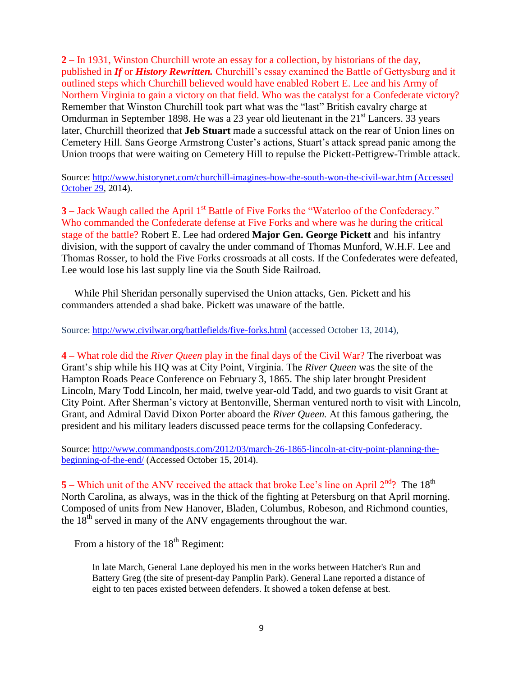**2 –** In 1931, Winston Churchill wrote an essay for a collection, by historians of the day, published in *If* or *History Rewritten.* Churchill's essay examined the Battle of Gettysburg and it outlined steps which Churchill believed would have enabled Robert E. Lee and his Army of Northern Virginia to gain a victory on that field. Who was the catalyst for a Confederate victory? Remember that Winston Churchill took part what was the "last" British cavalry charge at Omdurman in September 1898. He was a 23 year old lieutenant in the  $21<sup>st</sup>$  Lancers. 33 years later, Churchill theorized that **Jeb Stuart** made a successful attack on the rear of Union lines on Cemetery Hill. Sans George Armstrong Custer's actions, Stuart's attack spread panic among the Union troops that were waiting on Cemetery Hill to repulse the Pickett-Pettigrew-Trimble attack.

Source: [http://www.historynet.com/churchill-imagines-how-the-south-won-the-civil-war.htm \(Accessed](http://www.historynet.com/churchill-imagines-how-the-south-won-the-civil-war.htm%20(Accessed%20October%2029)  [October 29,](http://www.historynet.com/churchill-imagines-how-the-south-won-the-civil-war.htm%20(Accessed%20October%2029) 2014).

**3** – Jack Waugh called the April 1<sup>st</sup> Battle of Five Forks the "Waterloo of the Confederacy." Who commanded the Confederate defense at Five Forks and where was he during the critical stage of the battle? Robert E. Lee had ordered **Major Gen. George Pickett** and his infantry division, with the support of cavalry the under command of Thomas Munford, W.H.F. Lee and Thomas Rosser, to hold the Five Forks crossroads at all costs. If the Confederates were defeated, Lee would lose his last supply line via the South Side Railroad.

 While Phil Sheridan personally supervised the Union attacks, Gen. Pickett and his commanders attended a shad bake. Pickett was unaware of the battle.

Source:<http://www.civilwar.org/battlefields/five-forks.html> (accessed October 13, 2014),

**4 –** What role did the *River Queen* play in the final days of the Civil War? The riverboat was Grant's ship while his HQ was at City Point, Virginia. The *River Queen* was the site of the Hampton Roads Peace Conference on February 3, 1865. The ship later brought President Lincoln, Mary Todd Lincoln, her maid, twelve year-old Tadd, and two guards to visit Grant at City Point. After Sherman's victory at Bentonville, Sherman ventured north to visit with Lincoln, Grant, and Admiral David Dixon Porter aboard the *River Queen.* At this famous gathering, the president and his military leaders discussed peace terms for the collapsing Confederacy.

Source: [http://www.commandposts.com/2012/03/march-26-1865-lincoln-at-city-point-planning-the](http://www.commandposts.com/2012/03/march-26-1865-lincoln-at-city-point-planning-the-beginning-of-the-end/)[beginning-of-the-end/](http://www.commandposts.com/2012/03/march-26-1865-lincoln-at-city-point-planning-the-beginning-of-the-end/) (Accessed October 15, 2014).

**5** – Which unit of the ANV received the attack that broke Lee's line on April 2<sup>nd</sup>? The 18<sup>th</sup> North Carolina, as always, was in the thick of the fighting at Petersburg on that April morning. Composed of units from New Hanover, Bladen, Columbus, Robeson, and Richmond counties, the  $18<sup>th</sup>$  served in many of the ANV engagements throughout the war.

From a history of the  $18<sup>th</sup>$  Regiment:

In late March, General Lane deployed his men in the works between Hatcher's Run and Battery Greg (the site of present-day Pamplin Park). General Lane reported a distance of eight to ten paces existed between defenders. It showed a token defense at best.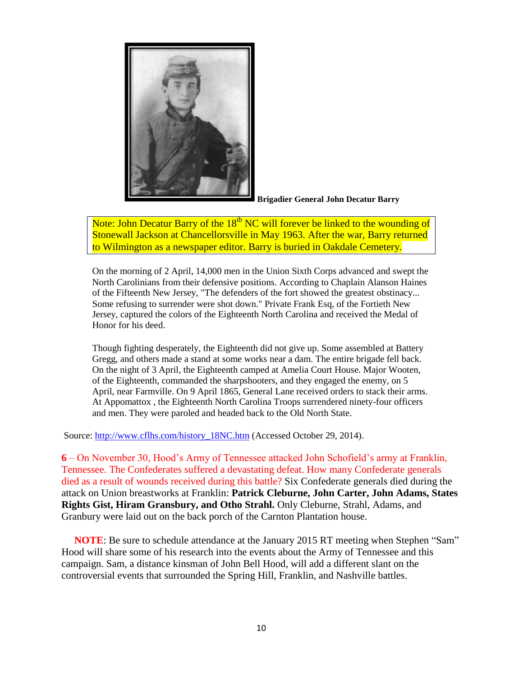

**Brigadier General John Decatur Barry**

Note: John Decatur Barry of the 18<sup>th</sup> NC will forever be linked to the wounding of Stonewall Jackson at Chancellorsville in May 1963. After the war, Barry returned to Wilmington as a newspaper editor. Barry is buried in Oakdale Cemetery.

On the morning of 2 April, 14,000 men in the Union Sixth Corps advanced and swept the North Carolinians from their defensive positions. According to Chaplain Alanson Haines of the Fifteenth New Jersey, "The defenders of the fort showed the greatest obstinacy... Some refusing to surrender were shot down." Private Frank Esq, of the Fortieth New Jersey, captured the colors of the Eighteenth North Carolina and received the Medal of Honor for his deed.

Though fighting desperately, the Eighteenth did not give up. Some assembled at Battery Gregg, and others made a stand at some works near a dam. The entire brigade fell back. On the night of 3 April, the Eighteenth camped at Amelia Court House. Major Wooten, of the Eighteenth, commanded the sharpshooters, and they engaged the enemy, on 5 April, near Farmville. On 9 April 1865, General Lane received orders to stack their arms. At Appomattox , the Eighteenth North Carolina Troops surrendered ninety-four officers and men. They were paroled and headed back to the Old North State.

Source: [http://www.cflhs.com/history\\_18NC.htm](http://www.cflhs.com/history_18NC.htm) (Accessed October 29, 2014).

**6** – On November 30, Hood's Army of Tennessee attacked John Schofield's army at Franklin, Tennessee. The Confederates suffered a devastating defeat. How many Confederate generals died as a result of wounds received during this battle? Six Confederate generals died during the attack on Union breastworks at Franklin: **Patrick Cleburne, John Carter, John Adams, States Rights Gist, Hiram Gransbury, and Otho Strahl.** Only Cleburne, Strahl, Adams, and Granbury were laid out on the back porch of the Carnton Plantation house.

 **NOTE**: Be sure to schedule attendance at the January 2015 RT meeting when Stephen "Sam" Hood will share some of his research into the events about the Army of Tennessee and this campaign. Sam, a distance kinsman of John Bell Hood, will add a different slant on the controversial events that surrounded the Spring Hill, Franklin, and Nashville battles.